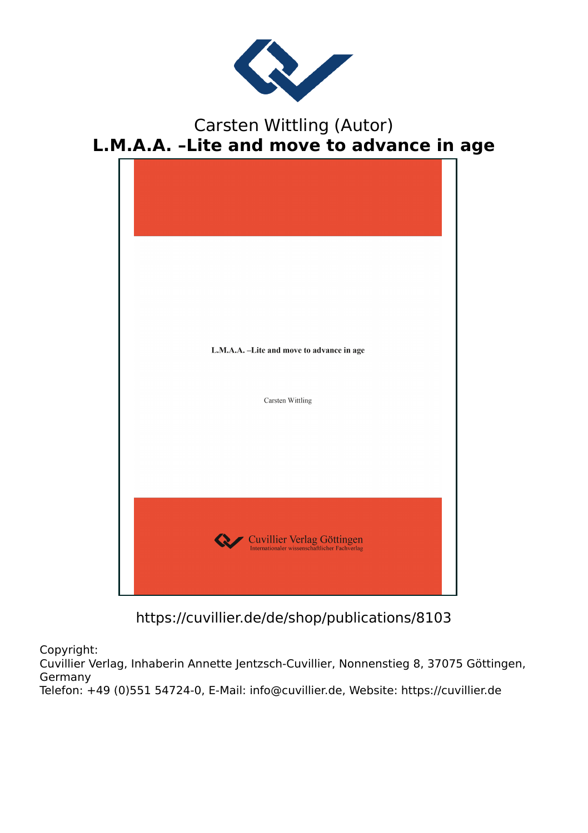

# Carsten Wittling (Autor) **L.M.A.A. –Lite and move to advance in age**



https://cuvillier.de/de/shop/publications/8103

Copyright:

Cuvillier Verlag, Inhaberin Annette Jentzsch-Cuvillier, Nonnenstieg 8, 37075 Göttingen, Germany

Telefon: +49 (0)551 54724-0, E-Mail: info@cuvillier.de, Website: https://cuvillier.de